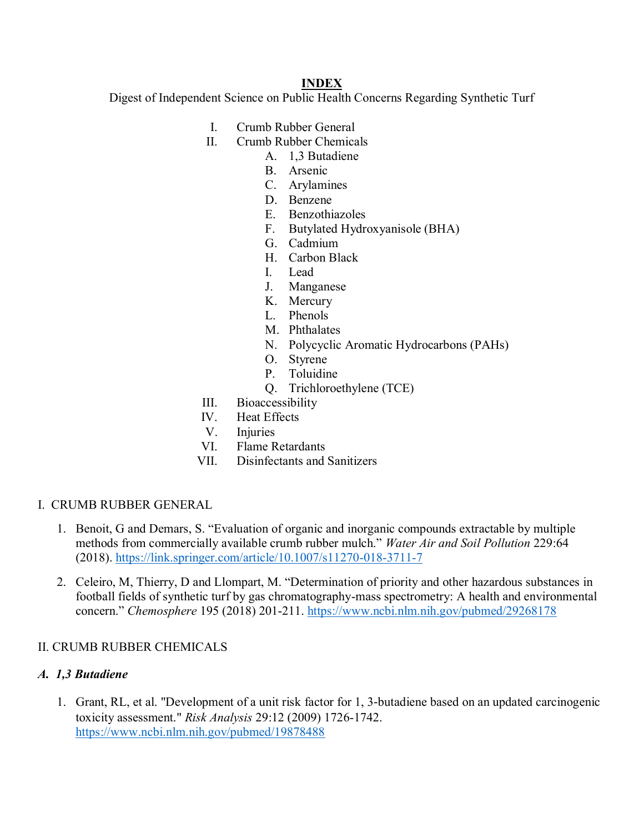#### **INDEX**

Digest of Independent Science on Public Health Concerns Regarding Synthetic Turf

- I. Crumb Rubber General
- II. Crumb Rubber Chemicals
	- A. 1,3 Butadiene
	- B. Arsenic
	- C. Arylamines
	- D. Benzene
	- E. Benzothiazoles
	- F. Butylated Hydroxyanisole (BHA)
	- G. Cadmium
	- H. Carbon Black
	- I. Lead
	- J. Manganese
	- K. Mercury
	- L. Phenols
	- M. Phthalates
	- N. Polycyclic Aromatic Hydrocarbons (PAHs)
	- O. Styrene
	- P. Toluidine
	- Q. Trichloroethylene (TCE)
- III. Bioaccessibility
- IV. Heat Effects
- V. Injuries
- VI. Flame Retardants
- VII. Disinfectants and Sanitizers
- I. CRUMB RUBBER GENERAL
	- 1. Benoit, G and Demars, S. "Evaluation of organic and inorganic compounds extractable by multiple methods from commercially available crumb rubber mulch." *Water Air and Soil Pollution* 229:64 (2018).<https://link.springer.com/article/10.1007/s11270-018-3711-7>
	- 2. Celeiro, M, Thierry, D and Llompart, M. "Determination of priority and other hazardous substances in football fields of synthetic turf by gas chromatography-mass spectrometry: A health and environmental concern." *Chemosphere* 195 (2018) 201-211.<https://www.ncbi.nlm.nih.gov/pubmed/29268178>

#### II. CRUMB RUBBER CHEMICALS

#### *A. 1,3 Butadiene*

1. Grant, RL, et al. "Development of a unit risk factor for 1, 3‐butadiene based on an updated carcinogenic toxicity assessment." *Risk Analysis* 29:12 (2009) 1726-1742. <https://www.ncbi.nlm.nih.gov/pubmed/19878488>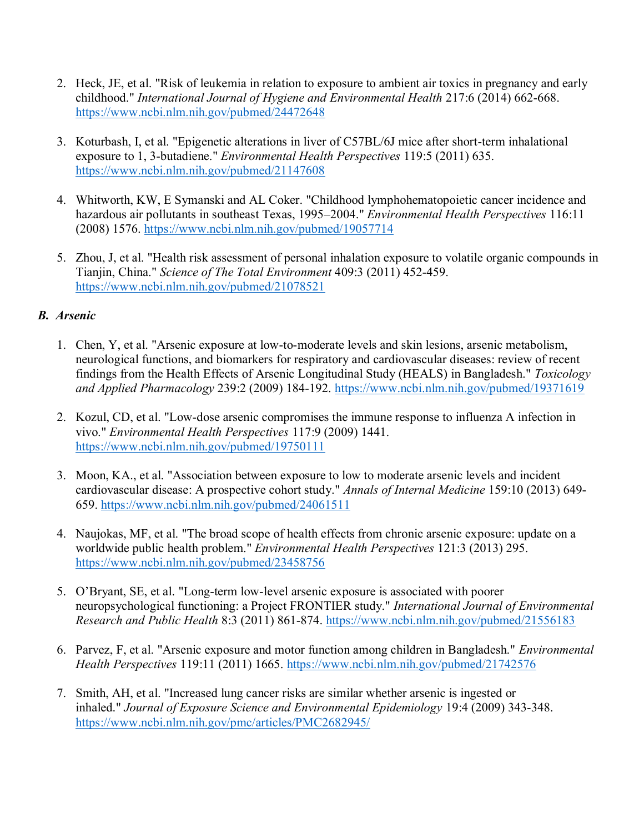- 2. Heck, JE, et al. "Risk of leukemia in relation to exposure to ambient air toxics in pregnancy and early childhood." *International Journal of Hygiene and Environmental Health* 217:6 (2014) 662-668. <https://www.ncbi.nlm.nih.gov/pubmed/24472648>
- 3. Koturbash, I, et al. "Epigenetic alterations in liver of C57BL/6J mice after short-term inhalational exposure to 1, 3-butadiene." *Environmental Health Perspectives* 119:5 (2011) 635. <https://www.ncbi.nlm.nih.gov/pubmed/21147608>
- 4. Whitworth, KW, E Symanski and AL Coker. "Childhood lymphohematopoietic cancer incidence and hazardous air pollutants in southeast Texas, 1995–2004." *Environmental Health Perspectives* 116:11 (2008) 1576.<https://www.ncbi.nlm.nih.gov/pubmed/19057714>
- 5. Zhou, J, et al. "Health risk assessment of personal inhalation exposure to volatile organic compounds in Tianjin, China." *Science of The Total Environment* 409:3 (2011) 452-459. <https://www.ncbi.nlm.nih.gov/pubmed/21078521>

#### *B. Arsenic*

- 1. Chen, Y, et al. "Arsenic exposure at low-to-moderate levels and skin lesions, arsenic metabolism, neurological functions, and biomarkers for respiratory and cardiovascular diseases: review of recent findings from the Health Effects of Arsenic Longitudinal Study (HEALS) in Bangladesh." *Toxicology and Applied Pharmacology* 239:2 (2009) 184-192.<https://www.ncbi.nlm.nih.gov/pubmed/19371619>
- 2. Kozul, CD, et al. "Low-dose arsenic compromises the immune response to influenza A infection in vivo." *Environmental Health Perspectives* 117:9 (2009) 1441. <https://www.ncbi.nlm.nih.gov/pubmed/19750111>
- 3. Moon, KA., et al. "Association between exposure to low to moderate arsenic levels and incident cardiovascular disease: A prospective cohort study." *Annals of Internal Medicine* 159:10 (2013) 649- 659.<https://www.ncbi.nlm.nih.gov/pubmed/24061511>
- 4. Naujokas, MF, et al. "The broad scope of health effects from chronic arsenic exposure: update on a worldwide public health problem." *Environmental Health Perspectives* 121:3 (2013) 295. <https://www.ncbi.nlm.nih.gov/pubmed/23458756>
- 5. O'Bryant, SE, et al. "Long-term low-level arsenic exposure is associated with poorer neuropsychological functioning: a Project FRONTIER study." *International Journal of Environmental Research and Public Health* 8:3 (2011) 861-874.<https://www.ncbi.nlm.nih.gov/pubmed/21556183>
- 6. Parvez, F, et al. "Arsenic exposure and motor function among children in Bangladesh." *Environmental Health Perspectives* 119:11 (2011) 1665.<https://www.ncbi.nlm.nih.gov/pubmed/21742576>
- 7. Smith, AH, et al. "Increased lung cancer risks are similar whether arsenic is ingested or inhaled." *Journal of Exposure Science and Environmental Epidemiology* 19:4 (2009) 343-348. <https://www.ncbi.nlm.nih.gov/pmc/articles/PMC2682945/>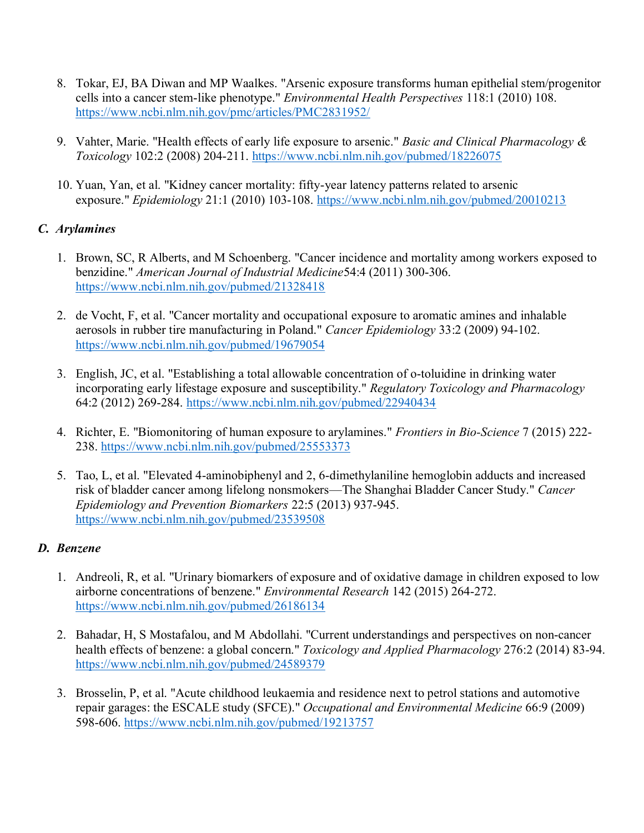- 8. Tokar, EJ, BA Diwan and MP Waalkes. "Arsenic exposure transforms human epithelial stem/progenitor cells into a cancer stem-like phenotype." *Environmental Health Perspectives* 118:1 (2010) 108. <https://www.ncbi.nlm.nih.gov/pmc/articles/PMC2831952/>
- 9. Vahter, Marie. "Health effects of early life exposure to arsenic." *Basic and Clinical Pharmacology & Toxicology* 102:2 (2008) 204-211.<https://www.ncbi.nlm.nih.gov/pubmed/18226075>
- 10. Yuan, Yan, et al. "Kidney cancer mortality: fifty-year latency patterns related to arsenic exposure." *Epidemiology* 21:1 (2010) 103-108.<https://www.ncbi.nlm.nih.gov/pubmed/20010213>

### *C. Arylamines*

- 1. Brown, SC, R Alberts, and M Schoenberg. "Cancer incidence and mortality among workers exposed to benzidine." *American Journal of Industrial Medicine*54:4 (2011) 300-306. <https://www.ncbi.nlm.nih.gov/pubmed/21328418>
- 2. de Vocht, F, et al. "Cancer mortality and occupational exposure to aromatic amines and inhalable aerosols in rubber tire manufacturing in Poland." *Cancer Epidemiology* 33:2 (2009) 94-102. <https://www.ncbi.nlm.nih.gov/pubmed/19679054>
- 3. English, JC, et al. "Establishing a total allowable concentration of o-toluidine in drinking water incorporating early lifestage exposure and susceptibility." *Regulatory Toxicology and Pharmacology*  64:2 (2012) 269-284. <https://www.ncbi.nlm.nih.gov/pubmed/22940434>
- 4. Richter, E. "Biomonitoring of human exposure to arylamines." *Frontiers in Bio-Science* 7 (2015) 222- 238. <https://www.ncbi.nlm.nih.gov/pubmed/25553373>
- 5. Tao, L, et al. "Elevated 4-aminobiphenyl and 2, 6-dimethylaniline hemoglobin adducts and increased risk of bladder cancer among lifelong nonsmokers—The Shanghai Bladder Cancer Study." *Cancer Epidemiology and Prevention Biomarkers* 22:5 (2013) 937-945. <https://www.ncbi.nlm.nih.gov/pubmed/23539508>

#### *D. Benzene*

- 1. Andreoli, R, et al. "Urinary biomarkers of exposure and of oxidative damage in children exposed to low airborne concentrations of benzene." *Environmental Research* 142 (2015) 264-272. <https://www.ncbi.nlm.nih.gov/pubmed/26186134>
- 2. Bahadar, H, S Mostafalou, and M Abdollahi. "Current understandings and perspectives on non-cancer health effects of benzene: a global concern." *Toxicology and Applied Pharmacology* 276:2 (2014) 83-94. <https://www.ncbi.nlm.nih.gov/pubmed/24589379>
- 3. Brosselin, P, et al. "Acute childhood leukaemia and residence next to petrol stations and automotive repair garages: the ESCALE study (SFCE)." *Occupational and Environmental Medicine* 66:9 (2009) 598-606. <https://www.ncbi.nlm.nih.gov/pubmed/19213757>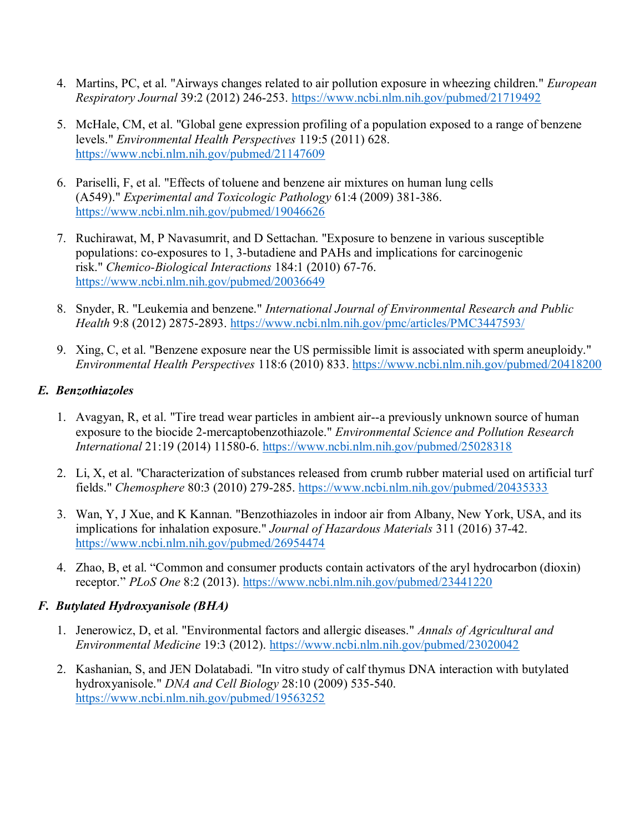- 4. Martins, PC, et al. "Airways changes related to air pollution exposure in wheezing children." *European Respiratory Journal* 39:2 (2012) 246-253. <https://www.ncbi.nlm.nih.gov/pubmed/21719492>
- 5. McHale, CM, et al. "Global gene expression profiling of a population exposed to a range of benzene levels." *Environmental Health Perspectives* 119:5 (2011) 628. <https://www.ncbi.nlm.nih.gov/pubmed/21147609>
- 6. Pariselli, F, et al. "Effects of toluene and benzene air mixtures on human lung cells (A549)." *Experimental and Toxicologic Pathology* 61:4 (2009) 381-386. <https://www.ncbi.nlm.nih.gov/pubmed/19046626>
- 7. Ruchirawat, M, P Navasumrit, and D Settachan. "Exposure to benzene in various susceptible populations: co-exposures to 1, 3-butadiene and PAHs and implications for carcinogenic risk." *Chemico-Biological Interactions* 184:1 (2010) 67-76. <https://www.ncbi.nlm.nih.gov/pubmed/20036649>
- 8. Snyder, R. "Leukemia and benzene." *International Journal of Environmental Research and Public Health* 9:8 (2012) 2875-2893. <https://www.ncbi.nlm.nih.gov/pmc/articles/PMC3447593/>
- 9. Xing, C, et al. "Benzene exposure near the US permissible limit is associated with sperm aneuploidy." *Environmental Health Perspectives* 118:6 (2010) 833. <https://www.ncbi.nlm.nih.gov/pubmed/20418200>

#### *E. Benzothiazoles*

- 1. Avagyan, R, et al. "Tire tread wear particles in ambient air--a previously unknown source of human exposure to the biocide 2-mercaptobenzothiazole." *Environmental Science and Pollution Research International* 21:19 (2014) 11580-6.<https://www.ncbi.nlm.nih.gov/pubmed/25028318>
- 2. Li, X, et al. "Characterization of substances released from crumb rubber material used on artificial turf fields." *Chemosphere* 80:3 (2010) 279-285.<https://www.ncbi.nlm.nih.gov/pubmed/20435333>
- 3. Wan, Y, J Xue, and K Kannan. "Benzothiazoles in indoor air from Albany, New York, USA, and its implications for inhalation exposure." *Journal of Hazardous Materials* 311 (2016) 37-42. <https://www.ncbi.nlm.nih.gov/pubmed/26954474>
- 4. Zhao, B, et al. "Common and consumer products contain activators of the aryl hydrocarbon (dioxin) receptor." *PLoS One* 8:2 (2013).<https://www.ncbi.nlm.nih.gov/pubmed/23441220>

### *F. Butylated Hydroxyanisole (BHA)*

- 1. Jenerowicz, D, et al. "Environmental factors and allergic diseases." *Annals of Agricultural and Environmental Medicine* 19:3 (2012).<https://www.ncbi.nlm.nih.gov/pubmed/23020042>
- 2. Kashanian, S, and JEN Dolatabadi. "In vitro study of calf thymus DNA interaction with butylated hydroxyanisole." *DNA and Cell Biology* 28:10 (2009) 535-540. <https://www.ncbi.nlm.nih.gov/pubmed/19563252>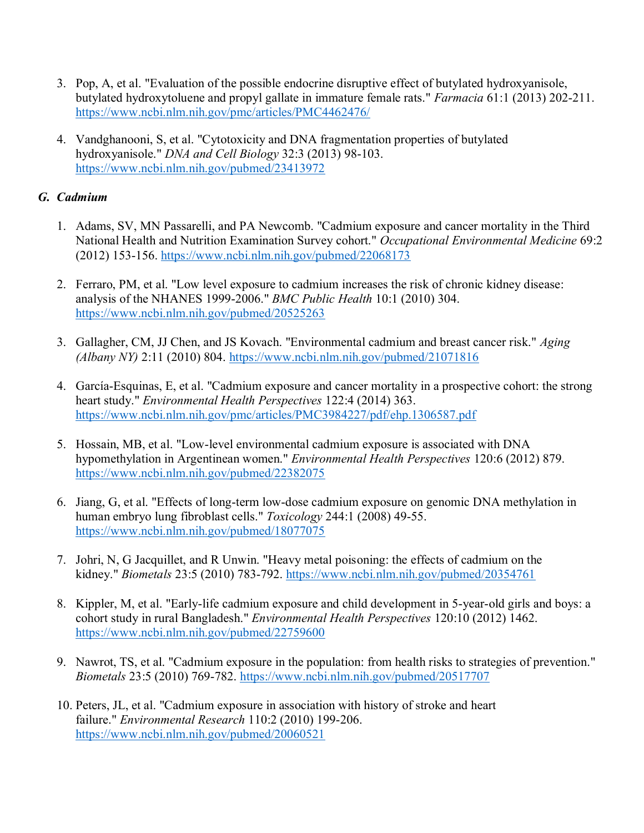- 3. Pop, A, et al. "Evaluation of the possible endocrine disruptive effect of butylated hydroxyanisole, butylated hydroxytoluene and propyl gallate in immature female rats." *Farmacia* 61:1 (2013) 202-211. <https://www.ncbi.nlm.nih.gov/pmc/articles/PMC4462476/>
- 4. Vandghanooni, S, et al. "Cytotoxicity and DNA fragmentation properties of butylated hydroxyanisole." *DNA and Cell Biology* 32:3 (2013) 98-103. <https://www.ncbi.nlm.nih.gov/pubmed/23413972>

### *G. Cadmium*

- 1. Adams, SV, MN Passarelli, and PA Newcomb. "Cadmium exposure and cancer mortality in the Third National Health and Nutrition Examination Survey cohort." *Occupational Environmental Medicine* 69:2 (2012) 153-156. <https://www.ncbi.nlm.nih.gov/pubmed/22068173>
- 2. Ferraro, PM, et al. "Low level exposure to cadmium increases the risk of chronic kidney disease: analysis of the NHANES 1999-2006." *BMC Public Health* 10:1 (2010) 304. <https://www.ncbi.nlm.nih.gov/pubmed/20525263>
- 3. Gallagher, CM, JJ Chen, and JS Kovach. "Environmental cadmium and breast cancer risk." *Aging (Albany NY)* 2:11 (2010) 804.<https://www.ncbi.nlm.nih.gov/pubmed/21071816>
- 4. García-Esquinas, E, et al. "Cadmium exposure and cancer mortality in a prospective cohort: the strong heart study." *Environmental Health Perspectives* 122:4 (2014) 363. <https://www.ncbi.nlm.nih.gov/pmc/articles/PMC3984227/pdf/ehp.1306587.pdf>
- 5. Hossain, MB, et al. "Low-level environmental cadmium exposure is associated with DNA hypomethylation in Argentinean women." *Environmental Health Perspectives* 120:6 (2012) 879. <https://www.ncbi.nlm.nih.gov/pubmed/22382075>
- 6. Jiang, G, et al. "Effects of long-term low-dose cadmium exposure on genomic DNA methylation in human embryo lung fibroblast cells." *Toxicology* 244:1 (2008) 49-55. <https://www.ncbi.nlm.nih.gov/pubmed/18077075>
- 7. Johri, N, G Jacquillet, and R Unwin. "Heavy metal poisoning: the effects of cadmium on the kidney." *Biometals* 23:5 (2010) 783-792.<https://www.ncbi.nlm.nih.gov/pubmed/20354761>
- 8. Kippler, M, et al. "Early-life cadmium exposure and child development in 5-year-old girls and boys: a cohort study in rural Bangladesh." *Environmental Health Perspectives* 120:10 (2012) 1462. <https://www.ncbi.nlm.nih.gov/pubmed/22759600>
- 9. Nawrot, TS, et al. "Cadmium exposure in the population: from health risks to strategies of prevention." *Biometals* 23:5 (2010) 769-782.<https://www.ncbi.nlm.nih.gov/pubmed/20517707>
- 10. Peters, JL, et al. "Cadmium exposure in association with history of stroke and heart failure." *Environmental Research* 110:2 (2010) 199-206. <https://www.ncbi.nlm.nih.gov/pubmed/20060521>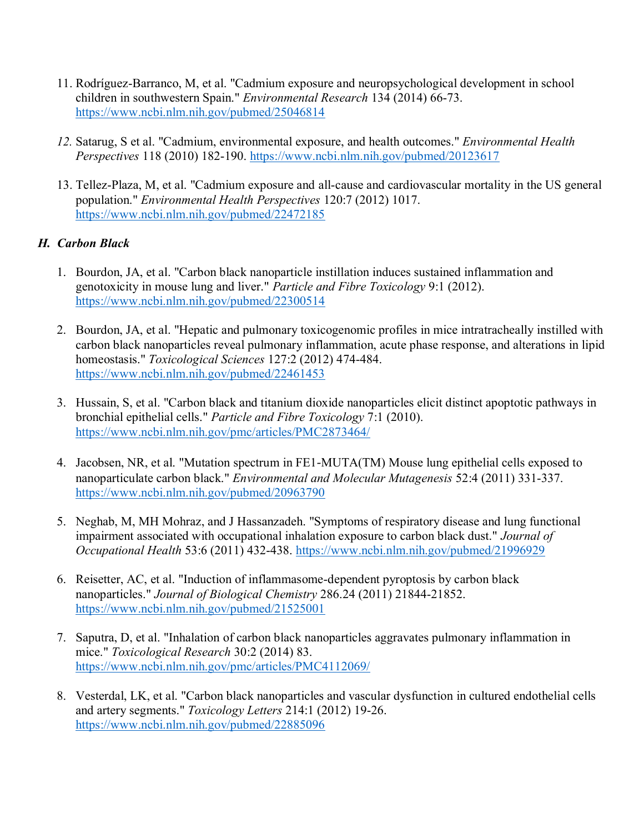- 11. Rodríguez-Barranco, M, et al. "Cadmium exposure and neuropsychological development in school children in southwestern Spain." *Environmental Research* 134 (2014) 66-73. <https://www.ncbi.nlm.nih.gov/pubmed/25046814>
- *12.* Satarug, S et al. "Cadmium, environmental exposure, and health outcomes." *Environmental Health Perspectives* 118 (2010) 182-190. <https://www.ncbi.nlm.nih.gov/pubmed/20123617>
- 13. Tellez-Plaza, M, et al. "Cadmium exposure and all-cause and cardiovascular mortality in the US general population." *Environmental Health Perspectives* 120:7 (2012) 1017. <https://www.ncbi.nlm.nih.gov/pubmed/22472185>

## *H. Carbon Black*

- 1. Bourdon, JA, et al. "Carbon black nanoparticle instillation induces sustained inflammation and genotoxicity in mouse lung and liver." *Particle and Fibre Toxicology* 9:1 (2012). <https://www.ncbi.nlm.nih.gov/pubmed/22300514>
- 2. Bourdon, JA, et al. "Hepatic and pulmonary toxicogenomic profiles in mice intratracheally instilled with carbon black nanoparticles reveal pulmonary inflammation, acute phase response, and alterations in lipid homeostasis." *Toxicological Sciences* 127:2 (2012) 474-484. <https://www.ncbi.nlm.nih.gov/pubmed/22461453>
- 3. Hussain, S, et al. "Carbon black and titanium dioxide nanoparticles elicit distinct apoptotic pathways in bronchial epithelial cells." *Particle and Fibre Toxicology* 7:1 (2010). <https://www.ncbi.nlm.nih.gov/pmc/articles/PMC2873464/>
- 4. Jacobsen, NR, et al. "Mutation spectrum in FE1‐MUTA(TM) Mouse lung epithelial cells exposed to nanoparticulate carbon black." *Environmental and Molecular Mutagenesis* 52:4 (2011) 331-337. <https://www.ncbi.nlm.nih.gov/pubmed/20963790>
- 5. Neghab, M, MH Mohraz, and J Hassanzadeh. "Symptoms of respiratory disease and lung functional impairment associated with occupational inhalation exposure to carbon black dust." *Journal of Occupational Health* 53:6 (2011) 432-438. <https://www.ncbi.nlm.nih.gov/pubmed/21996929>
- 6. Reisetter, AC, et al. "Induction of inflammasome-dependent pyroptosis by carbon black nanoparticles." *Journal of Biological Chemistry* 286.24 (2011) 21844-21852. <https://www.ncbi.nlm.nih.gov/pubmed/21525001>
- 7. Saputra, D, et al. "Inhalation of carbon black nanoparticles aggravates pulmonary inflammation in mice." *Toxicological Research* 30:2 (2014) 83. <https://www.ncbi.nlm.nih.gov/pmc/articles/PMC4112069/>
- 8. Vesterdal, LK, et al. "Carbon black nanoparticles and vascular dysfunction in cultured endothelial cells and artery segments." *Toxicology Letters* 214:1 (2012) 19-26. <https://www.ncbi.nlm.nih.gov/pubmed/22885096>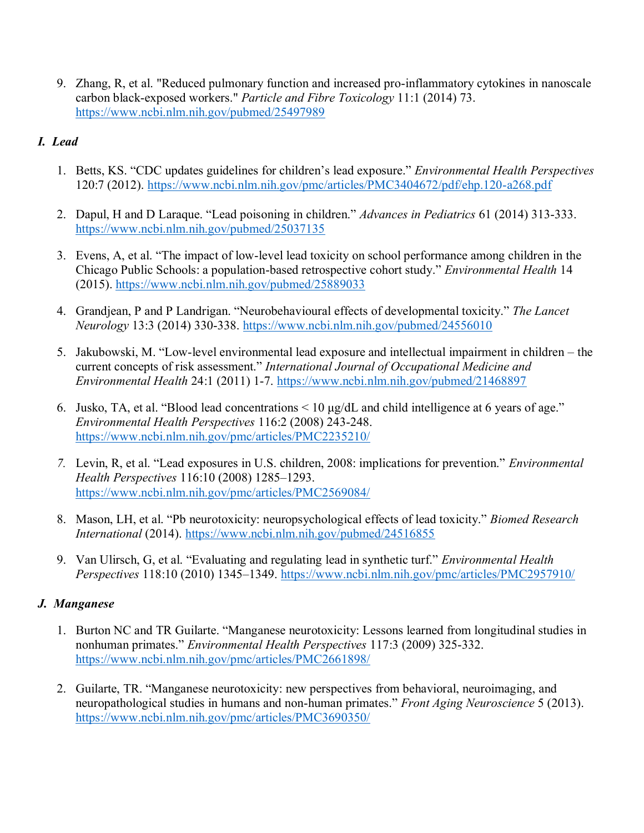9. Zhang, R, et al. "Reduced pulmonary function and increased pro-inflammatory cytokines in nanoscale carbon black-exposed workers." *Particle and Fibre Toxicology* 11:1 (2014) 73. <https://www.ncbi.nlm.nih.gov/pubmed/25497989>

# *I. Lead*

- 1. Betts, KS. "CDC updates guidelines for children's lead exposure." *Environmental Health Perspectives*  120:7 (2012). <https://www.ncbi.nlm.nih.gov/pmc/articles/PMC3404672/pdf/ehp.120-a268.pdf>
- 2. Dapul, H and D Laraque. "Lead poisoning in children." *Advances in Pediatrics* 61 (2014) 313-333. <https://www.ncbi.nlm.nih.gov/pubmed/25037135>
- 3. Evens, A, et al. "The impact of low-level lead toxicity on school performance among children in the Chicago Public Schools: a population-based retrospective cohort study." *Environmental Health* 14 (2015).<https://www.ncbi.nlm.nih.gov/pubmed/25889033>
- 4. Grandjean, P and P Landrigan. "Neurobehavioural effects of developmental toxicity." *The Lancet Neurology* 13:3 (2014) 330-338. <https://www.ncbi.nlm.nih.gov/pubmed/24556010>
- 5. Jakubowski, M. "Low-level environmental lead exposure and intellectual impairment in children the current concepts of risk assessment." *International Journal of Occupational Medicine and Environmental Health* 24:1 (2011) 1-7.<https://www.ncbi.nlm.nih.gov/pubmed/21468897>
- 6. Jusko, TA, et al. "Blood lead concentrations < 10 μg/dL and child intelligence at 6 years of age." *Environmental Health Perspectives* 116:2 (2008) 243-248. <https://www.ncbi.nlm.nih.gov/pmc/articles/PMC2235210/>
- *7.* Levin, R, et al. "Lead exposures in U.S. children, 2008: implications for prevention." *Environmental Health Perspectives* 116:10 (2008) 1285–1293. <https://www.ncbi.nlm.nih.gov/pmc/articles/PMC2569084/>
- 8. Mason, LH, et al. "Pb neurotoxicity: neuropsychological effects of lead toxicity." *Biomed Research International* (2014).<https://www.ncbi.nlm.nih.gov/pubmed/24516855>
- 9. Van Ulirsch, G, et al. "Evaluating and regulating lead in synthetic turf." *Environmental Health Perspectives* 118:10 (2010) 1345–1349.<https://www.ncbi.nlm.nih.gov/pmc/articles/PMC2957910/>

# *J. Manganese*

- 1. Burton NC and TR Guilarte. "Manganese neurotoxicity: Lessons learned from longitudinal studies in nonhuman primates." *Environmental Health Perspectives* 117:3 (2009) 325-332. <https://www.ncbi.nlm.nih.gov/pmc/articles/PMC2661898/>
- 2. Guilarte, TR. "Manganese neurotoxicity: new perspectives from behavioral, neuroimaging, and neuropathological studies in humans and non-human primates." *Front Aging Neuroscience* 5 (2013). <https://www.ncbi.nlm.nih.gov/pmc/articles/PMC3690350/>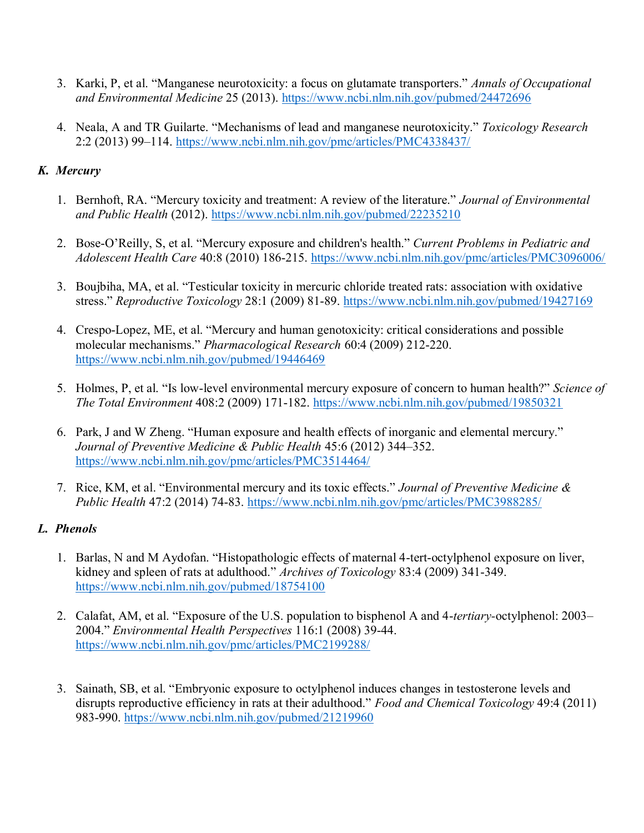- 3. Karki, P, et al. "Manganese neurotoxicity: a focus on glutamate transporters." *Annals of Occupational and Environmental Medicine* 25 (2013).<https://www.ncbi.nlm.nih.gov/pubmed/24472696>
- 4. Neala, A and TR Guilarte. "Mechanisms of lead and manganese neurotoxicity." *Toxicology Research*  2:2 (2013) 99–114.<https://www.ncbi.nlm.nih.gov/pmc/articles/PMC4338437/>

### *K. Mercury*

- 1. Bernhoft, RA. "Mercury toxicity and treatment: A review of the literature." *Journal of Environmental and Public Health* (2012).<https://www.ncbi.nlm.nih.gov/pubmed/22235210>
- 2. Bose-O'Reilly, S, et al. "Mercury exposure and children's health." *Current Problems in Pediatric and Adolescent Health Care* 40:8 (2010) 186-215.<https://www.ncbi.nlm.nih.gov/pmc/articles/PMC3096006/>
- 3. Boujbiha, MA, et al. "Testicular toxicity in mercuric chloride treated rats: association with oxidative stress." *Reproductive Toxicology* 28:1 (2009) 81-89.<https://www.ncbi.nlm.nih.gov/pubmed/19427169>
- 4. Crespo-Lopez, ME, et al. "Mercury and human genotoxicity: critical considerations and possible molecular mechanisms." *Pharmacological Research* 60:4 (2009) 212-220. <https://www.ncbi.nlm.nih.gov/pubmed/19446469>
- 5. Holmes, P, et al. "Is low-level environmental mercury exposure of concern to human health?" *Science of The Total Environment* 408:2 (2009) 171-182.<https://www.ncbi.nlm.nih.gov/pubmed/19850321>
- 6. Park, J and W Zheng. "Human exposure and health effects of inorganic and elemental mercury." *Journal of Preventive Medicine & Public Health* 45:6 (2012) 344–352. <https://www.ncbi.nlm.nih.gov/pmc/articles/PMC3514464/>
- 7. Rice, KM, et al. "Environmental mercury and its toxic effects." *Journal of Preventive Medicine & Public Health* 47:2 (2014) 74-83.<https://www.ncbi.nlm.nih.gov/pmc/articles/PMC3988285/>

### *L. Phenols*

- 1. Barlas, N and M Aydofan. "Histopathologic effects of maternal 4-tert-octylphenol exposure on liver, kidney and spleen of rats at adulthood." *Archives of Toxicology* 83:4 (2009) 341-349. <https://www.ncbi.nlm.nih.gov/pubmed/18754100>
- 2. Calafat, AM, et al. "Exposure of the U.S. population to bisphenol A and 4-*tertiary-*octylphenol: 2003– 2004." *Environmental Health Perspectives* 116:1 (2008) 39-44. <https://www.ncbi.nlm.nih.gov/pmc/articles/PMC2199288/>
- 3. Sainath, SB, et al. "Embryonic exposure to octylphenol induces changes in testosterone levels and disrupts reproductive efficiency in rats at their adulthood." *Food and Chemical Toxicology* 49:4 (2011) 983-990.<https://www.ncbi.nlm.nih.gov/pubmed/21219960>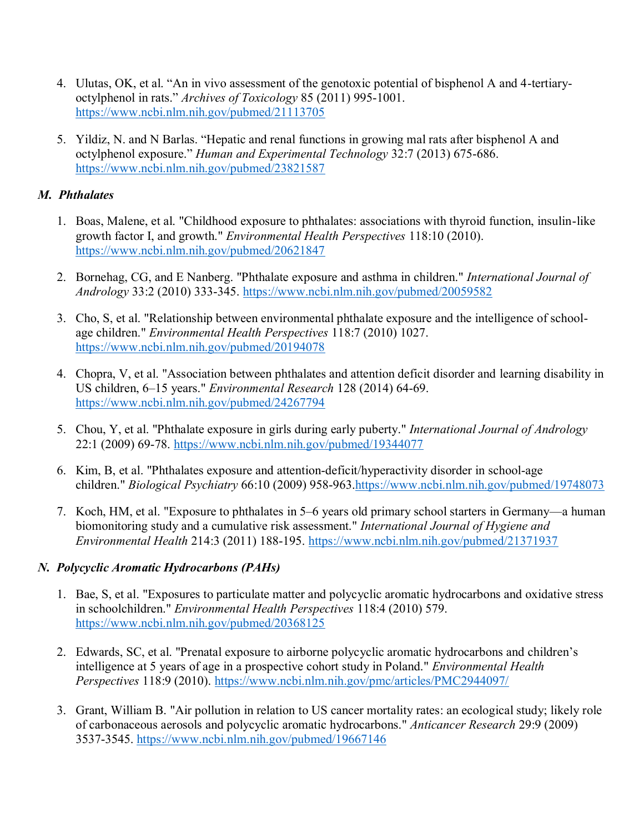- 4. Ulutas, OK, et al. "An in vivo assessment of the genotoxic potential of bisphenol A and 4-tertiaryoctylphenol in rats." *Archives of Toxicology* 85 (2011) 995-1001. <https://www.ncbi.nlm.nih.gov/pubmed/21113705>
- 5. Yildiz, N. and N Barlas. "Hepatic and renal functions in growing mal rats after bisphenol A and octylphenol exposure." *Human and Experimental Technology* 32:7 (2013) 675-686. <https://www.ncbi.nlm.nih.gov/pubmed/23821587>

### *M. Phthalates*

- 1. Boas, Malene, et al. "Childhood exposure to phthalates: associations with thyroid function, insulin-like growth factor I, and growth." *Environmental Health Perspectives* 118:10 (2010). <https://www.ncbi.nlm.nih.gov/pubmed/20621847>
- 2. Bornehag, CG, and E Nanberg. "Phthalate exposure and asthma in children." *International Journal of Andrology* 33:2 (2010) 333-345. <https://www.ncbi.nlm.nih.gov/pubmed/20059582>
- 3. Cho, S, et al. "Relationship between environmental phthalate exposure and the intelligence of schoolage children." *Environmental Health Perspectives* 118:7 (2010) 1027. <https://www.ncbi.nlm.nih.gov/pubmed/20194078>
- 4. Chopra, V, et al. "Association between phthalates and attention deficit disorder and learning disability in US children, 6–15 years." *Environmental Research* 128 (2014) 64-69. <https://www.ncbi.nlm.nih.gov/pubmed/24267794>
- 5. Chou, Y, et al. "Phthalate exposure in girls during early puberty." *International Journal of Andrology*  22:1 (2009) 69-78. <https://www.ncbi.nlm.nih.gov/pubmed/19344077>
- 6. Kim, B, et al. "Phthalates exposure and attention-deficit/hyperactivity disorder in school-age children." *Biological Psychiatry* 66:10 (2009) 958-963[.https://www.ncbi.nlm.nih.gov/pubmed/19748073](https://www.ncbi.nlm.nih.gov/pubmed/19748073)
- 7. Koch, HM, et al. "Exposure to phthalates in 5–6 years old primary school starters in Germany—a human biomonitoring study and a cumulative risk assessment." *International Journal of Hygiene and Environmental Health* 214:3 (2011) 188-195. <https://www.ncbi.nlm.nih.gov/pubmed/21371937>

# *N. Polycyclic Aromatic Hydrocarbons (PAHs)*

- 1. Bae, S, et al. "Exposures to particulate matter and polycyclic aromatic hydrocarbons and oxidative stress in schoolchildren." *Environmental Health Perspectives* 118:4 (2010) 579. <https://www.ncbi.nlm.nih.gov/pubmed/20368125>
- 2. Edwards, SC, et al. "Prenatal exposure to airborne polycyclic aromatic hydrocarbons and children's intelligence at 5 years of age in a prospective cohort study in Poland." *Environmental Health Perspectives* 118:9 (2010).<https://www.ncbi.nlm.nih.gov/pmc/articles/PMC2944097/>
- 3. Grant, William B. "Air pollution in relation to US cancer mortality rates: an ecological study; likely role of carbonaceous aerosols and polycyclic aromatic hydrocarbons." *Anticancer Research* 29:9 (2009) 3537-3545.<https://www.ncbi.nlm.nih.gov/pubmed/19667146>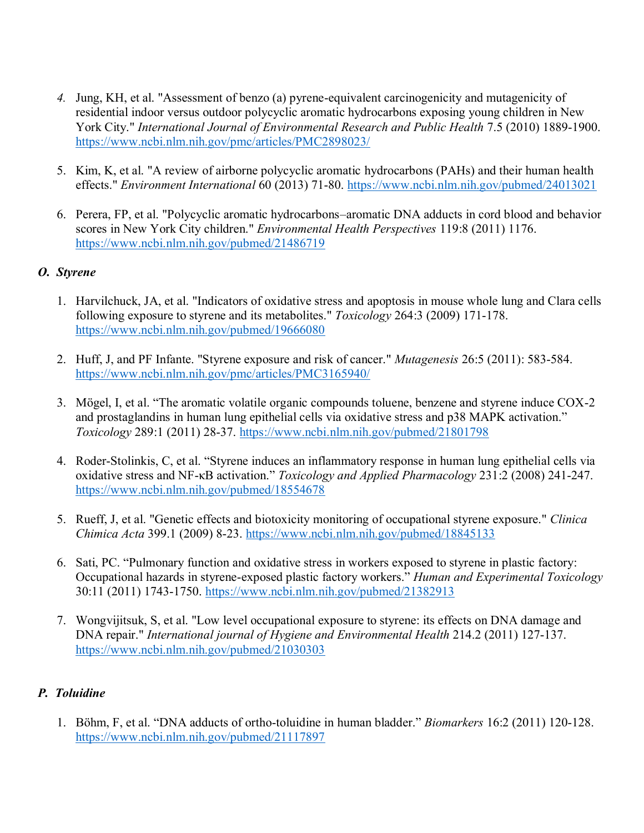- *4.* Jung, KH, et al. "Assessment of benzo (a) pyrene-equivalent carcinogenicity and mutagenicity of residential indoor versus outdoor polycyclic aromatic hydrocarbons exposing young children in New York City." *International Journal of Environmental Research and Public Health* 7.5 (2010) 1889-1900. <https://www.ncbi.nlm.nih.gov/pmc/articles/PMC2898023/>
- 5. Kim, K, et al. "A review of airborne polycyclic aromatic hydrocarbons (PAHs) and their human health effects." *Environment International* 60 (2013) 71-80.<https://www.ncbi.nlm.nih.gov/pubmed/24013021>
- 6. Perera, FP, et al. "Polycyclic aromatic hydrocarbons–aromatic DNA adducts in cord blood and behavior scores in New York City children." *Environmental Health Perspectives* 119:8 (2011) 1176. <https://www.ncbi.nlm.nih.gov/pubmed/21486719>

### *O. Styrene*

- 1. Harvilchuck, JA, et al. "Indicators of oxidative stress and apoptosis in mouse whole lung and Clara cells following exposure to styrene and its metabolites." *Toxicology* 264:3 (2009) 171-178. <https://www.ncbi.nlm.nih.gov/pubmed/19666080>
- 2. Huff, J, and PF Infante. "Styrene exposure and risk of cancer." *Mutagenesis* 26:5 (2011): 583-584. <https://www.ncbi.nlm.nih.gov/pmc/articles/PMC3165940/>
- 3. [Mögel](http://www.sciencedirect.com/science/article/pii/S0300483X11002666#%21), I, et al. "The aromatic volatile organic compounds toluene, benzene and styrene induce COX-2 and prostaglandins in human lung epithelial cells via oxidative stress and p38 MAPK activation." *Toxicology* [289:1](http://www.sciencedirect.com/science/journal/0300483X/289/1) (2011) 28-37.<https://www.ncbi.nlm.nih.gov/pubmed/21801798>
- 4. Roder-Stolinkis, C, et al. "Styrene induces an inflammatory response in human lung epithelial cells via oxidative stress and NF-κB activation." *Toxicology and Applied Pharmacology* 231:2 (2008) 241-247. <https://www.ncbi.nlm.nih.gov/pubmed/18554678>
- 5. Rueff, J, et al. "Genetic effects and biotoxicity monitoring of occupational styrene exposure." *Clinica Chimica Acta* 399.1 (2009) 8-23.<https://www.ncbi.nlm.nih.gov/pubmed/18845133>
- 6. Sati, PC. "Pulmonary function and oxidative stress in workers exposed to styrene in plastic factory: Occupational hazards in styrene-exposed plastic factory workers." *Human and Experimental Toxicology*  30:11 (2011) 1743-1750.<https://www.ncbi.nlm.nih.gov/pubmed/21382913>
- 7. Wongvijitsuk, S, et al. "Low level occupational exposure to styrene: its effects on DNA damage and DNA repair." *International journal of Hygiene and Environmental Health* 214.2 (2011) 127-137. <https://www.ncbi.nlm.nih.gov/pubmed/21030303>

### *P. Toluidine*

1. Böhm, F, et al. "DNA adducts of ortho-toluidine in human bladder." *Biomarkers* 16:2 (2011) 120-128. <https://www.ncbi.nlm.nih.gov/pubmed/21117897>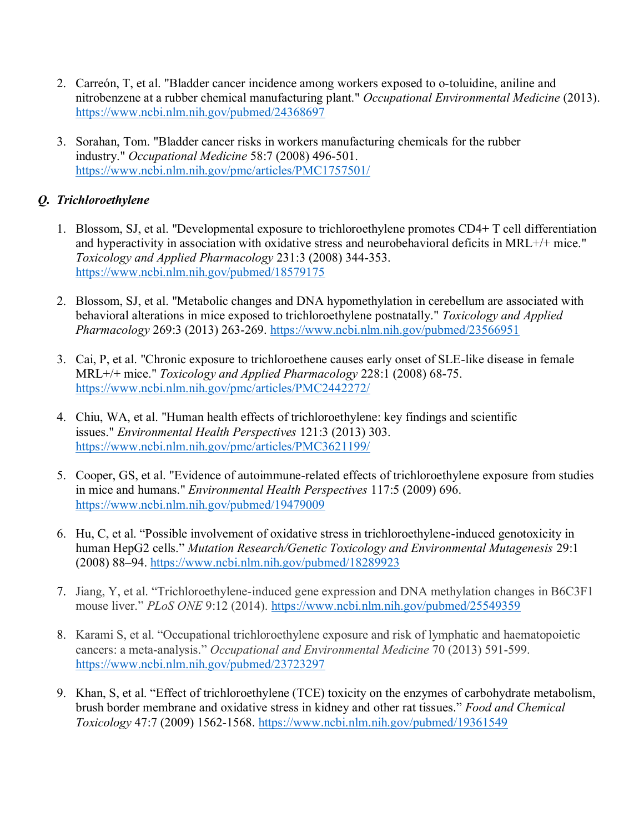- 2. Carreón, T, et al. "Bladder cancer incidence among workers exposed to o-toluidine, aniline and nitrobenzene at a rubber chemical manufacturing plant." *Occupational Environmental Medicine* (2013). <https://www.ncbi.nlm.nih.gov/pubmed/24368697>
- 3. Sorahan, Tom. "Bladder cancer risks in workers manufacturing chemicals for the rubber industry." *Occupational Medicine* 58:7 (2008) 496-501. <https://www.ncbi.nlm.nih.gov/pmc/articles/PMC1757501/>

# *Q. Trichloroethylene*

- 1. Blossom, SJ, et al. "Developmental exposure to trichloroethylene promotes CD4+ T cell differentiation and hyperactivity in association with oxidative stress and neurobehavioral deficits in MRL+/+ mice." *Toxicology and Applied Pharmacology* 231:3 (2008) 344-353. <https://www.ncbi.nlm.nih.gov/pubmed/18579175>
- 2. Blossom, SJ, et al. "Metabolic changes and DNA hypomethylation in cerebellum are associated with behavioral alterations in mice exposed to trichloroethylene postnatally." *Toxicology and Applied Pharmacology* 269:3 (2013) 263-269.<https://www.ncbi.nlm.nih.gov/pubmed/23566951>
- 3. Cai, P, et al. "Chronic exposure to trichloroethene causes early onset of SLE-like disease in female MRL+/+ mice." *Toxicology and Applied Pharmacology* 228:1 (2008) 68-75. <https://www.ncbi.nlm.nih.gov/pmc/articles/PMC2442272/>
- 4. Chiu, WA, et al. "Human health effects of trichloroethylene: key findings and scientific issues." *Environmental Health Perspectives* 121:3 (2013) 303. <https://www.ncbi.nlm.nih.gov/pmc/articles/PMC3621199/>
- 5. Cooper, GS, et al. "Evidence of autoimmune-related effects of trichloroethylene exposure from studies in mice and humans." *Environmental Health Perspectives* 117:5 (2009) 696. <https://www.ncbi.nlm.nih.gov/pubmed/19479009>
- 6. Hu, C, et al. "Possible involvement of oxidative stress in trichloroethylene-induced genotoxicity in human HepG2 cells." *Mutation Research/Genetic Toxicology and Environmental Mutagenesis* 29:1 (2008) 88–94.<https://www.ncbi.nlm.nih.gov/pubmed/18289923>
- 7. Jiang, Y, et al. "Trichloroethylene-induced gene expression and DNA methylation changes in B6C3F1 mouse liver." *PLoS ONE* 9:12 (2014). <https://www.ncbi.nlm.nih.gov/pubmed/25549359>
- 8. Karami S, et al. "Occupational trichloroethylene exposure and risk of lymphatic and haematopoietic cancers: a meta-analysis." *Occupational and Environmental Medicine* 70 (2013) 591-599. <https://www.ncbi.nlm.nih.gov/pubmed/23723297>
- 9. Khan, S, et al. "Effect of trichloroethylene (TCE) toxicity on the enzymes of carbohydrate metabolism, brush border membrane and oxidative stress in kidney and other rat tissues." *Food and Chemical Toxicology* 47:7 (2009) 1562-1568.<https://www.ncbi.nlm.nih.gov/pubmed/19361549>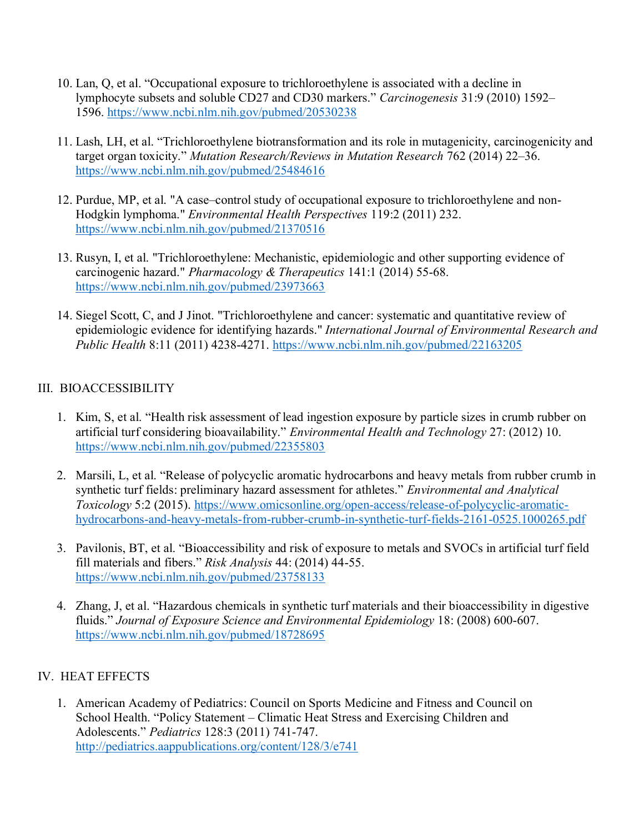- 10. Lan, Q, et al. "Occupational exposure to trichloroethylene is associated with a decline in lymphocyte subsets and soluble CD27 and CD30 markers." *Carcinogenesis* 31:9 (2010) 1592– 1596.<https://www.ncbi.nlm.nih.gov/pubmed/20530238>
- 11. Lash, LH, et al. "Trichloroethylene biotransformation and its role in mutagenicity, carcinogenicity and target organ toxicity." *Mutation Research/Reviews in Mutation Research* 762 (2014) 22–36. <https://www.ncbi.nlm.nih.gov/pubmed/25484616>
- 12. Purdue, MP, et al. "A case–control study of occupational exposure to trichloroethylene and non-Hodgkin lymphoma." *Environmental Health Perspectives* 119:2 (2011) 232. <https://www.ncbi.nlm.nih.gov/pubmed/21370516>
- 13. Rusyn, I, et al. "Trichloroethylene: Mechanistic, epidemiologic and other supporting evidence of carcinogenic hazard." *Pharmacology & Therapeutics* 141:1 (2014) 55-68. <https://www.ncbi.nlm.nih.gov/pubmed/23973663>
- 14. Siegel Scott, C, and J Jinot. "Trichloroethylene and cancer: systematic and quantitative review of epidemiologic evidence for identifying hazards." *International Journal of Environmental Research and Public Health* 8:11 (2011) 4238-4271.<https://www.ncbi.nlm.nih.gov/pubmed/22163205>

### III. BIOACCESSIBILITY

- 1. Kim, S, et al. "Health risk assessment of lead ingestion exposure by particle sizes in crumb rubber on artificial turf considering bioavailability." *Environmental Health and Technology* 27: (2012) 10. <https://www.ncbi.nlm.nih.gov/pubmed/22355803>
- 2. Marsili, L, et al. "Release of polycyclic aromatic hydrocarbons and heavy metals from rubber crumb in synthetic turf fields: preliminary hazard assessment for athletes." *Environmental and Analytical Toxicology* 5:2 (2015). [https://www.omicsonline.org/open-access/release-of-polycyclic-aromatic](https://www.omicsonline.org/open-access/release-of-polycyclic-aromatic-hydrocarbons-and-heavy-metals-from-rubber-crumb-in-synthetic-turf-fields-2161-0525.1000265.pdf)[hydrocarbons-and-heavy-metals-from-rubber-crumb-in-synthetic-turf-fields-2161-0525.1000265.pdf](https://www.omicsonline.org/open-access/release-of-polycyclic-aromatic-hydrocarbons-and-heavy-metals-from-rubber-crumb-in-synthetic-turf-fields-2161-0525.1000265.pdf)
- 3. Pavilonis, BT, et al. "Bioaccessibility and risk of exposure to metals and SVOCs in artificial turf field fill materials and fibers." *Risk Analysis* 44: (2014) 44-55. <https://www.ncbi.nlm.nih.gov/pubmed/23758133>
- 4. Zhang, J, et al. "Hazardous chemicals in synthetic turf materials and their bioaccessibility in digestive fluids." *Journal of Exposure Science and Environmental Epidemiology* 18: (2008) 600-607. <https://www.ncbi.nlm.nih.gov/pubmed/18728695>

### IV. HEAT EFFECTS

1. American Academy of Pediatrics: Council on Sports Medicine and Fitness and Council on School Health. "Policy Statement – Climatic Heat Stress and Exercising Children and Adolescents." *Pediatrics* 128:3 (2011) 741-747. <http://pediatrics.aappublications.org/content/128/3/e741>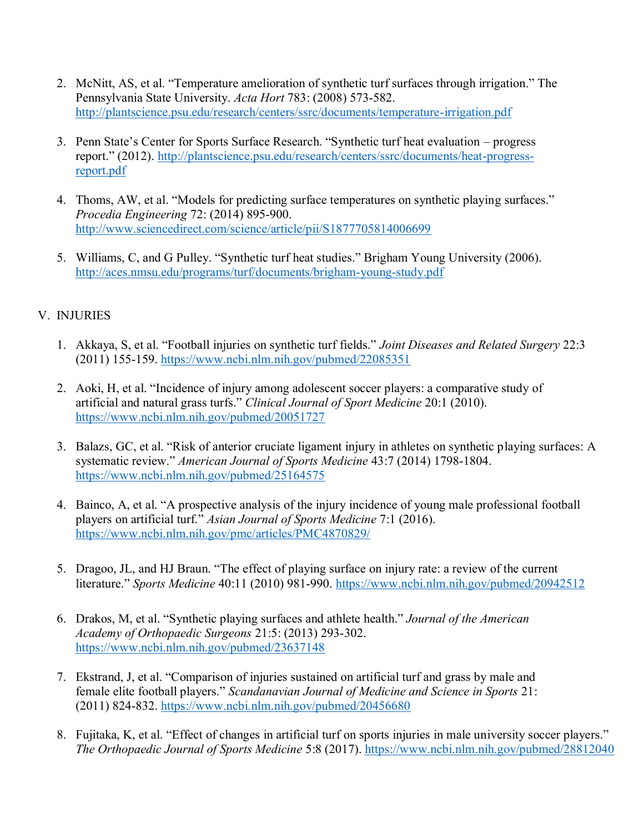- 2. McNitt, AS, et al. "Temperature amelioration of synthetic turf surfaces through irrigation." The Pennsylvania State University. *Acta Hort* 783: (2008) 573-582. <http://plantscience.psu.edu/research/centers/ssrc/documents/temperature-irrigation.pdf>
- 3. Penn State's Center for Sports Surface Research. "Synthetic turf heat evaluation progress report." (2012). [http://plantscience.psu.edu/research/centers/ssrc/documents/heat-progress](http://plantscience.psu.edu/research/centers/ssrc/documents/heat-progress-report.pdf)[report.pdf](http://plantscience.psu.edu/research/centers/ssrc/documents/heat-progress-report.pdf)
- 4. Thoms, AW, et al. "Models for predicting surface temperatures on synthetic playing surfaces." *Procedia Engineering* 72: (2014) 895-900. <http://www.sciencedirect.com/science/article/pii/S1877705814006699>
- 5. Williams, C, and G Pulley. "Synthetic turf heat studies." Brigham Young University (2006). <http://aces.nmsu.edu/programs/turf/documents/brigham-young-study.pdf>

# V. INJURIES

- 1. Akkaya, S, et al. "Football injuries on synthetic turf fields." *Joint Diseases and Related Surgery* 22:3 (2011) 155-159.<https://www.ncbi.nlm.nih.gov/pubmed/22085351>
- 2. Aoki, H, et al. "Incidence of injury among adolescent soccer players: a comparative study of artificial and natural grass turfs." *Clinical Journal of Sport Medicine* 20:1 (2010). <https://www.ncbi.nlm.nih.gov/pubmed/20051727>
- 3. Balazs, GC, et al. "Risk of anterior cruciate ligament injury in athletes on synthetic playing surfaces: A systematic review." *American Journal of Sports Medicine* 43:7 (2014) 1798-1804. <https://www.ncbi.nlm.nih.gov/pubmed/25164575>
- 4. Bainco, A, et al. "A prospective analysis of the injury incidence of young male professional football players on artificial turf." *Asian Journal of Sports Medicine* 7:1 (2016). <https://www.ncbi.nlm.nih.gov/pmc/articles/PMC4870829/>
- 5. Dragoo, JL, and HJ Braun. "The effect of playing surface on injury rate: a review of the current literature." *Sports Medicine* 40:11 (2010) 981-990.<https://www.ncbi.nlm.nih.gov/pubmed/20942512>
- 6. Drakos, M, et al. "Synthetic playing surfaces and athlete health." *Journal of the American Academy of Orthopaedic Surgeons* 21:5: (2013) 293-302. <https://www.ncbi.nlm.nih.gov/pubmed/23637148>
- 7. Ekstrand, J, et al. "Comparison of injuries sustained on artificial turf and grass by male and female elite football players." *Scandanavian Journal of Medicine and Science in Sports* 21: (2011) 824-832.<https://www.ncbi.nlm.nih.gov/pubmed/20456680>
- 8. Fujitaka, K, et al. "Effect of changes in artificial turf on sports injuries in male university soccer players." *The Orthopaedic Journal of Sports Medicine* 5:8 (2017).<https://www.ncbi.nlm.nih.gov/pubmed/28812040>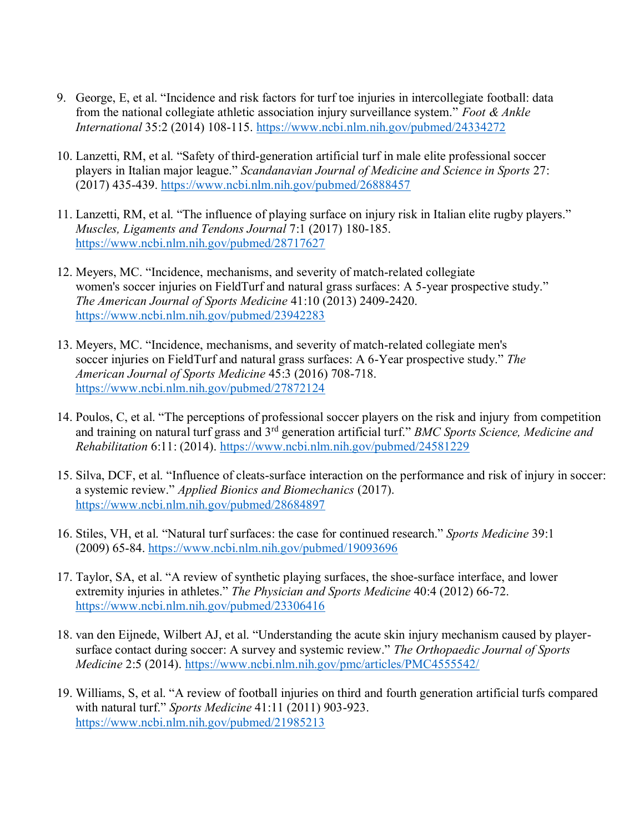- 9. George, E, et al. "Incidence and risk factors for turf toe injuries in intercollegiate football: data from the national collegiate athletic association injury surveillance system." *Foot & Ankle International* 35:2 (2014) 108-115.<https://www.ncbi.nlm.nih.gov/pubmed/24334272>
- 10. Lanzetti, RM, et al. "Safety of third-generation artificial turf in male elite professional soccer players in Italian major league." *Scandanavian Journal of Medicine and Science in Sports* 27: (2017) 435-439.<https://www.ncbi.nlm.nih.gov/pubmed/26888457>
- 11. Lanzetti, RM, et al. "The influence of playing surface on injury risk in Italian elite rugby players." *Muscles, Ligaments and Tendons Journal* 7:1 (2017) 180-185. <https://www.ncbi.nlm.nih.gov/pubmed/28717627>
- 12. Meyers, MC. "Incidence, mechanisms, and severity of match-related collegiate women's soccer injuries on FieldTurf and natural grass surfaces: A 5-year prospective study." *The American Journal of Sports Medicine* 41:10 (2013) 2409-2420. <https://www.ncbi.nlm.nih.gov/pubmed/23942283>
- 13. Meyers, MC. "Incidence, mechanisms, and severity of match-related collegiate men's soccer injuries on FieldTurf and natural grass surfaces: A 6-Year prospective study." *The American Journal of Sports Medicine* 45:3 (2016) 708-718. <https://www.ncbi.nlm.nih.gov/pubmed/27872124>
- 14. Poulos, C, et al. "The perceptions of professional soccer players on the risk and injury from competition and training on natural turf grass and 3rd generation artificial turf." *BMC Sports Science, Medicine and Rehabilitation* 6:11: (2014).<https://www.ncbi.nlm.nih.gov/pubmed/24581229>
- 15. Silva, DCF, et al. "Influence of cleats-surface interaction on the performance and risk of injury in soccer: a systemic review." *Applied Bionics and Biomechanics* (2017). <https://www.ncbi.nlm.nih.gov/pubmed/28684897>
- 16. Stiles, VH, et al. "Natural turf surfaces: the case for continued research." *Sports Medicine* 39:1 (2009) 65-84.<https://www.ncbi.nlm.nih.gov/pubmed/19093696>
- 17. Taylor, SA, et al. "A review of synthetic playing surfaces, the shoe-surface interface, and lower extremity injuries in athletes." *The Physician and Sports Medicine* 40:4 (2012) 66-72. <https://www.ncbi.nlm.nih.gov/pubmed/23306416>
- 18. van den Eijnede, Wilbert AJ, et al. "Understanding the acute skin injury mechanism caused by playersurface contact during soccer: A survey and systemic review." *The Orthopaedic Journal of Sports Medicine* 2:5 (2014).<https://www.ncbi.nlm.nih.gov/pmc/articles/PMC4555542/>
- 19. Williams, S, et al. "A review of football injuries on third and fourth generation artificial turfs compared with natural turf." *Sports Medicine* 41:11 (2011) 903-923. <https://www.ncbi.nlm.nih.gov/pubmed/21985213>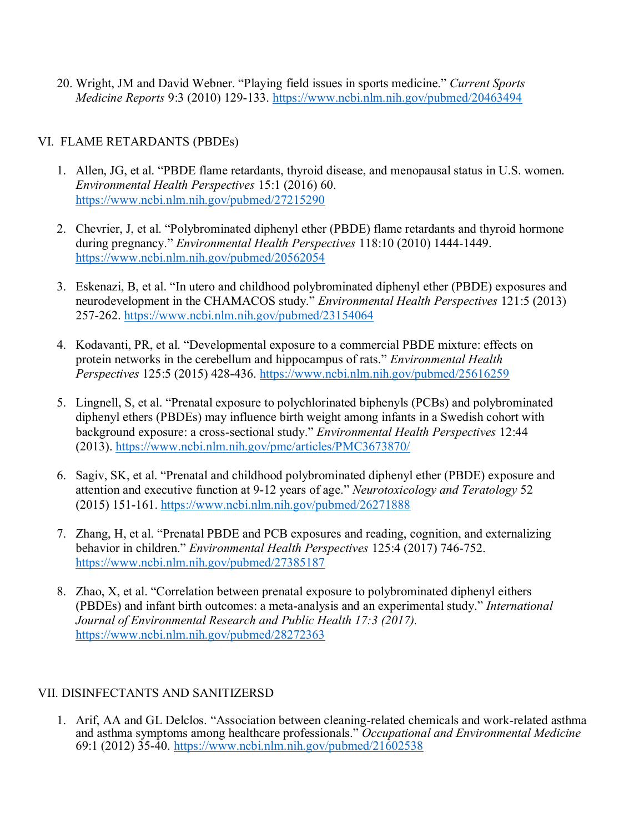20. Wright, JM and David Webner. "Playing field issues in sports medicine." *Current Sports Medicine Reports* 9:3 (2010) 129-133.<https://www.ncbi.nlm.nih.gov/pubmed/20463494>

### VI. FLAME RETARDANTS (PBDEs)

- 1. Allen, JG, et al. "PBDE flame retardants, thyroid disease, and menopausal status in U.S. women. *Environmental Health Perspectives* 15:1 (2016) 60. <https://www.ncbi.nlm.nih.gov/pubmed/27215290>
- 2. Chevrier, J, et al. "Polybrominated diphenyl ether (PBDE) flame retardants and thyroid hormone during pregnancy." *Environmental Health Perspectives* 118:10 (2010) 1444-1449. <https://www.ncbi.nlm.nih.gov/pubmed/20562054>
- 3. Eskenazi, B, et al. "In utero and childhood polybrominated diphenyl ether (PBDE) exposures and neurodevelopment in the CHAMACOS study." *Environmental Health Perspectives* 121:5 (2013) 257-262.<https://www.ncbi.nlm.nih.gov/pubmed/23154064>
- 4. Kodavanti, PR, et al. "Developmental exposure to a commercial PBDE mixture: effects on protein networks in the cerebellum and hippocampus of rats." *Environmental Health Perspectives* 125:5 (2015) 428-436.<https://www.ncbi.nlm.nih.gov/pubmed/25616259>
- 5. Lingnell, S, et al. "Prenatal exposure to polychlorinated biphenyls (PCBs) and polybrominated diphenyl ethers (PBDEs) may influence birth weight among infants in a Swedish cohort with background exposure: a cross-sectional study." *Environmental Health Perspectives* 12:44 (2013).<https://www.ncbi.nlm.nih.gov/pmc/articles/PMC3673870/>
- 6. Sagiv, SK, et al. "Prenatal and childhood polybrominated diphenyl ether (PBDE) exposure and attention and executive function at 9-12 years of age." *Neurotoxicology and Teratology* 52 (2015) 151-161.<https://www.ncbi.nlm.nih.gov/pubmed/26271888>
- 7. Zhang, H, et al. "Prenatal PBDE and PCB exposures and reading, cognition, and externalizing behavior in children." *Environmental Health Perspectives* 125:4 (2017) 746-752. <https://www.ncbi.nlm.nih.gov/pubmed/27385187>
- 8. Zhao, X, et al. "Correlation between prenatal exposure to polybrominated diphenyl eithers (PBDEs) and infant birth outcomes: a meta-analysis and an experimental study." *International Journal of Environmental Research and Public Health 17:3 (2017).* <https://www.ncbi.nlm.nih.gov/pubmed/28272363>

### VII. DISINFECTANTS AND SANITIZERSD

1. Arif, AA and GL Delclos. "Association between cleaning-related chemicals and work-related asthma and asthma symptoms among healthcare professionals." *Occupational and Environmental Medicine*  69:1 (2012) 35-40. <https://www.ncbi.nlm.nih.gov/pubmed/21602538>